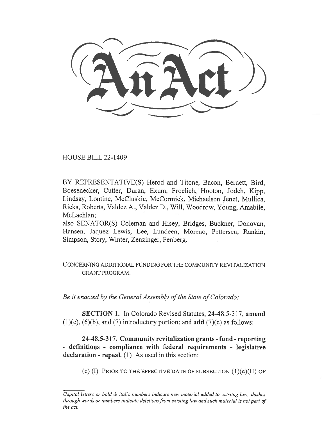HOUSE BILL 22-1409

BY REPRESENTATIVE(S) Herod and Titone, Bacon, Bernett, Bird, Boesenecker, Cutter, Duran, Exum, Froelich, Hooton, Jodeh, Kipp, Lindsay, Lontine, McCluskie, McCormick, Michaelson Jenet, Mullica, Ricks, Roberts, Valdez A., Valdez D., Will, Woodrow, Young, Amabile, McLachlan;

also SENATOR(S) Coleman and Hisey, Bridges, Buckner, Donovan, Hansen, Jaquez Lewis, Lee, Lundeen, Moreno, Pettersen, Rankin, Simpson, Story, Winter, Zenzinger, Fenberg.

CONCERNING ADDITIONAL FUNDING FOR THE COMMUNITY REVITALIZATION GRANT PROGRAM.

Be it enacted by the General Assembly of the State of Colorado:

SECTION 1. In Colorado Revised Statutes, 24-48.5-317, amend  $(1)(c)$ ,  $(6)(b)$ , and  $(7)$  introductory portion; and **add**  $(7)(c)$  as follows:

24-48.5-317. Community revitalization grants - fund - reporting - definitions - compliance with federal requirements - legislative declaration - repeal. (1) As used in this section:

(c) (I) PRIOR TO THE EFFECTIVE DATE OF SUBSECTION  $(1)(c)(II)$  OF

Capital letters or bold & italic numbers indicate new material added to existing law; dashes through words or numbers indicate deletions from existing law and such material is not part of the act.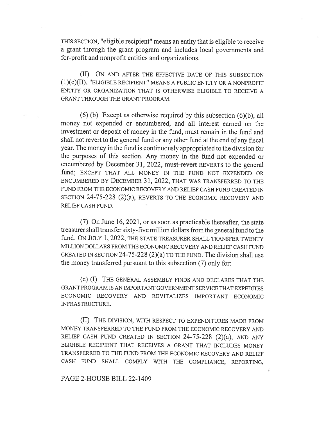THIS SECTION, "eligible recipient" means an entity that is eligible to receive a grant through the grant program and includes local governments and for-profit and nonprofit entities and organizations.

(II) ON AND AFTER THE EFFECTIVE DATE OF THIS SUBSECTION (1)(c)(II), "ELIGIBLE RECIPIENT" MEANS A PUBLIC ENTITY OR A NONPROFIT ENTITY OR ORGANIZATION THAT IS OTHERWISE ELIGIBLE TO RECEIVE A GRANT THROUGH THE GRANT PROGRAM.

(6) (b) Except as otherwise required by this subsection (6)(b), all money not expended or encumbered, and all interest earned on the investment or deposit of money in the fund, must remain in the fund and shall not revert to the general fund or any other fund at the end of any fiscal year. The money in the fund is continuously appropriated to the division for the purposes of this section. Any money in the fund not expended or encumbered by December 31, 2022, must-revert REVERTS to the general fund; EXCEPT THAT ALL MONEY IN THE FUND NOT EXPENDED OR ENCUMBERED BY DECEMBER 31, 2022, THAT WAS TRANSFERRED TO THE FUND FROM THE ECONOMIC RECOVERY AND RELIEF CASH FUND CREATED IN SECTION 24-75-228 (2)(a), REVERTS TO THE ECONOMIC RECOVERY AND RELIEF CASH FUND.

(7) On June 16, 2021, or as soon as practicable thereafter, the state treasurer shall transfer sixty-five million dollars from the general fund to the fund. ON JULY 1, 2022, THE STATE TREASURER SHALL TRANSFER TWENTY MILLION DOLLARS FROM THE ECONOMIC RECOVERY AND RELIEF CASH FUND CREATED IN SECTION 24-75-228  $(2)(a)$  TO THE FUND. The division shall use the money transferred pursuant to this subsection (7) only for:

(c) (I) THE GENERAL ASSEMBLY FINDS AND DECLARES THAT THE GRANT PROGRAM IS AN IMPORTANT GOVERNMENT SERVICE THAT EXPEDITES ECONOMIC RECOVERY AND REVITALIZES IMPORTANT ECONOMIC INFRASTRUCTURE.

(II) THE DIVISION, WITH RESPECT TO EXPENDITURES MADE FROM MONEY TRANSFERRED TO THE FUND FROM THE ECONOMIC RECOVERY AND RELIEF CASH FUND CREATED IN SECTION  $24-75-228$   $(2)(a)$ , AND ANY ELIGIBLE RECIPIENT THAT RECEIVES A GRANT THAT INCLUDES MONEY TRANSFERRED TO THE FUND FROM THE ECONOMIC RECOVERY AND RELIEF CASH FUND SHALL COMPLY WITH THE COMPLIANCE, REPORTING,

PAGE 2-HOUSE BILL 22-1409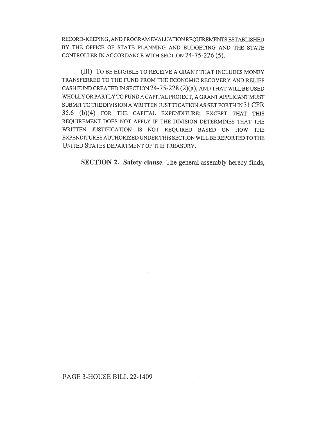RECORD-KEEPING, AND PROGRAM EVALUATION REQUIREMENTS ESTABLISHED BY THE OFFICE OF STATE PLANNING AND BUDGETING AND THE STATE CONTROLLER IN ACCORDANCE WITH SECTION 24-75-226 (5).

(III) To BE ELIGIBLE TO RECEIVE A GRANT THAT INCLUDES MONEY TRANSFERRED TO THE FUND FROM THE ECONOMIC RECOVERY AND RELIEF CASH FUND CREATED IN SECTION 24-75-228 (2)(a), AND THAT WILL BE USED WHOLLY OR PARTLY TO FUND A CAPITAL PROJECT, A GRANT APPLICANT MUST SUBMIT TO THE DIVISION A WRITTEN JUSTIFICATION AS SET FORTH IN 31 CFR 35.6 (b)(4) FOR THE CAPITAL EXPENDITURE; EXCEPT THAT THIS REQUIREMENT DOES NOT APPLY IF THE DIVISION DETERMINES THAT THE WRITTEN JUSTIFICATION IS NOT REQUIRED BASED ON HOW THE EXPENDITURES AUTHORIZED UNDER THIS SECTION WILL BE REPORTED TO THE UNITED STATES DEPARTMENT OF THE TREASURY.

SECTION 2. Safety clause. The general assembly hereby finds,